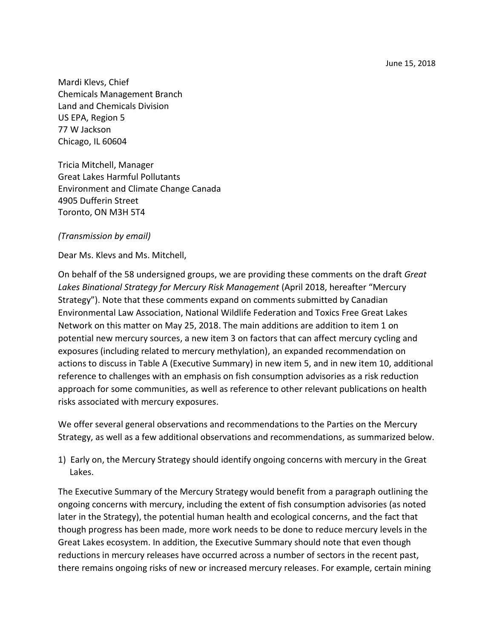June 15, 2018

Mardi Klevs, Chief Chemicals Management Branch Land and Chemicals Division US EPA, Region 5 77 W Jackson Chicago, IL 60604

Tricia Mitchell, Manager Great Lakes Harmful Pollutants Environment and Climate Change Canada 4905 Dufferin Street Toronto, ON M3H 5T4

#### *(Transmission by email)*

Dear Ms. Klevs and Ms. Mitchell,

On behalf of the 58 undersigned groups, we are providing these comments on the draft *Great Lakes Binational Strategy for Mercury Risk Management* (April 2018, hereafter "Mercury Strategy"). Note that these comments expand on comments submitted by Canadian Environmental Law Association, National Wildlife Federation and Toxics Free Great Lakes Network on this matter on May 25, 2018. The main additions are addition to item 1 on potential new mercury sources, a new item 3 on factors that can affect mercury cycling and exposures (including related to mercury methylation), an expanded recommendation on actions to discuss in Table A (Executive Summary) in new item 5, and in new item 10, additional reference to challenges with an emphasis on fish consumption advisories as a risk reduction approach for some communities, as well as reference to other relevant publications on health risks associated with mercury exposures.

We offer several general observations and recommendations to the Parties on the Mercury Strategy, as well as a few additional observations and recommendations, as summarized below.

1) Early on, the Mercury Strategy should identify ongoing concerns with mercury in the Great Lakes.

The Executive Summary of the Mercury Strategy would benefit from a paragraph outlining the ongoing concerns with mercury, including the extent of fish consumption advisories (as noted later in the Strategy), the potential human health and ecological concerns, and the fact that though progress has been made, more work needs to be done to reduce mercury levels in the Great Lakes ecosystem. In addition, the Executive Summary should note that even though reductions in mercury releases have occurred across a number of sectors in the recent past, there remains ongoing risks of new or increased mercury releases. For example, certain mining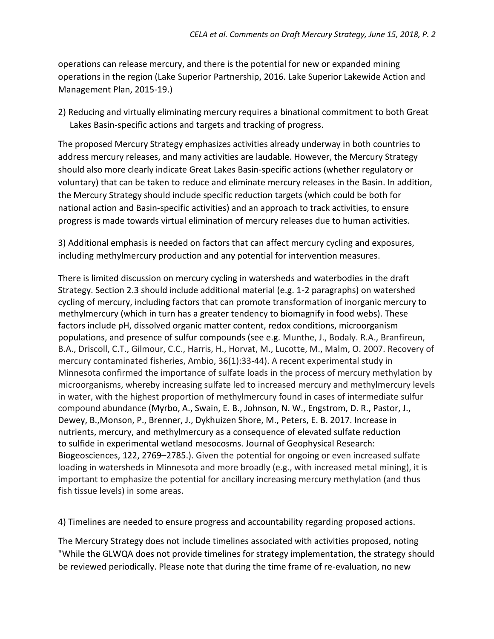operations can release mercury, and there is the potential for new or expanded mining operations in the region (Lake Superior Partnership, 2016. Lake Superior Lakewide Action and Management Plan, 2015-19.)

2) Reducing and virtually eliminating mercury requires a binational commitment to both Great Lakes Basin-specific actions and targets and tracking of progress.

The proposed Mercury Strategy emphasizes activities already underway in both countries to address mercury releases, and many activities are laudable. However, the Mercury Strategy should also more clearly indicate Great Lakes Basin-specific actions (whether regulatory or voluntary) that can be taken to reduce and eliminate mercury releases in the Basin. In addition, the Mercury Strategy should include specific reduction targets (which could be both for national action and Basin-specific activities) and an approach to track activities, to ensure progress is made towards virtual elimination of mercury releases due to human activities.

3) Additional emphasis is needed on factors that can affect mercury cycling and exposures, including methylmercury production and any potential for intervention measures.

There is limited discussion on mercury cycling in watersheds and waterbodies in the draft Strategy. Section 2.3 should include additional material (e.g. 1-2 paragraphs) on watershed cycling of mercury, including factors that can promote transformation of inorganic mercury to methylmercury (which in turn has a greater tendency to biomagnify in food webs). These factors include pH, dissolved organic matter content, redox conditions, microorganism populations, and presence of sulfur compounds (see e.g. Munthe, J., Bodaly. R.A., Branfireun, B.A., Driscoll, C.T., Gilmour, C.C., Harris, H., Horvat, M., Lucotte, M., Malm, O. 2007. Recovery of mercury contaminated fisheries, Ambio, 36(1):33-44). A recent experimental study in Minnesota confirmed the importance of sulfate loads in the process of mercury methylation by microorganisms, whereby increasing sulfate led to increased mercury and methylmercury levels in water, with the highest proportion of methylmercury found in cases of intermediate sulfur compound abundance (Myrbo, A., Swain, E. B., Johnson, N. W., Engstrom, D. R., Pastor, J., Dewey, B.,Monson, P., Brenner, J., Dykhuizen Shore, M., Peters, E. B. 2017. Increase in nutrients, mercury, and methylmercury as a consequence of elevated sulfate reduction to sulfide in experimental wetland mesocosms. Journal of Geophysical Research: Biogeosciences, 122, 2769–2785.). Given the potential for ongoing or even increased sulfate loading in watersheds in Minnesota and more broadly (e.g., with increased metal mining), it is important to emphasize the potential for ancillary increasing mercury methylation (and thus fish tissue levels) in some areas.

4) Timelines are needed to ensure progress and accountability regarding proposed actions.

The Mercury Strategy does not include timelines associated with activities proposed, noting "While the GLWQA does not provide timelines for strategy implementation, the strategy should be reviewed periodically. Please note that during the time frame of re-evaluation, no new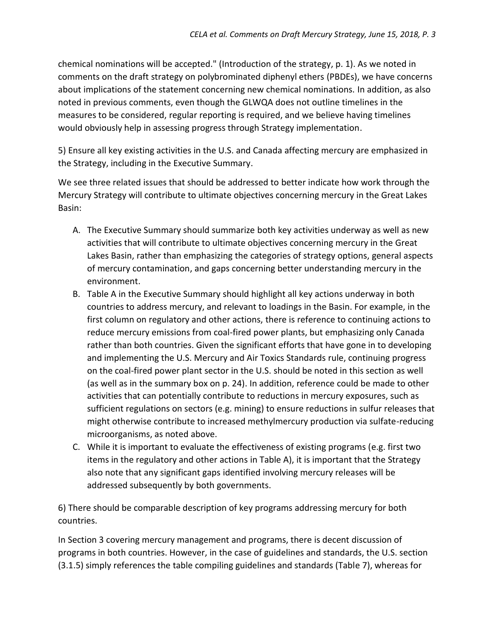chemical nominations will be accepted." (Introduction of the strategy, p. 1). As we noted in comments on the draft strategy on polybrominated diphenyl ethers (PBDEs), we have concerns about implications of the statement concerning new chemical nominations. In addition, as also noted in previous comments, even though the GLWQA does not outline timelines in the measures to be considered, regular reporting is required, and we believe having timelines would obviously help in assessing progress through Strategy implementation.

5) Ensure all key existing activities in the U.S. and Canada affecting mercury are emphasized in the Strategy, including in the Executive Summary.

We see three related issues that should be addressed to better indicate how work through the Mercury Strategy will contribute to ultimate objectives concerning mercury in the Great Lakes Basin:

- A. The Executive Summary should summarize both key activities underway as well as new activities that will contribute to ultimate objectives concerning mercury in the Great Lakes Basin, rather than emphasizing the categories of strategy options, general aspects of mercury contamination, and gaps concerning better understanding mercury in the environment.
- B. Table A in the Executive Summary should highlight all key actions underway in both countries to address mercury, and relevant to loadings in the Basin. For example, in the first column on regulatory and other actions, there is reference to continuing actions to reduce mercury emissions from coal-fired power plants, but emphasizing only Canada rather than both countries. Given the significant efforts that have gone in to developing and implementing the U.S. Mercury and Air Toxics Standards rule, continuing progress on the coal-fired power plant sector in the U.S. should be noted in this section as well (as well as in the summary box on p. 24). In addition, reference could be made to other activities that can potentially contribute to reductions in mercury exposures, such as sufficient regulations on sectors (e.g. mining) to ensure reductions in sulfur releases that might otherwise contribute to increased methylmercury production via sulfate-reducing microorganisms, as noted above.
- C. While it is important to evaluate the effectiveness of existing programs (e.g. first two items in the regulatory and other actions in Table A), it is important that the Strategy also note that any significant gaps identified involving mercury releases will be addressed subsequently by both governments.

6) There should be comparable description of key programs addressing mercury for both countries.

In Section 3 covering mercury management and programs, there is decent discussion of programs in both countries. However, in the case of guidelines and standards, the U.S. section (3.1.5) simply references the table compiling guidelines and standards (Table 7), whereas for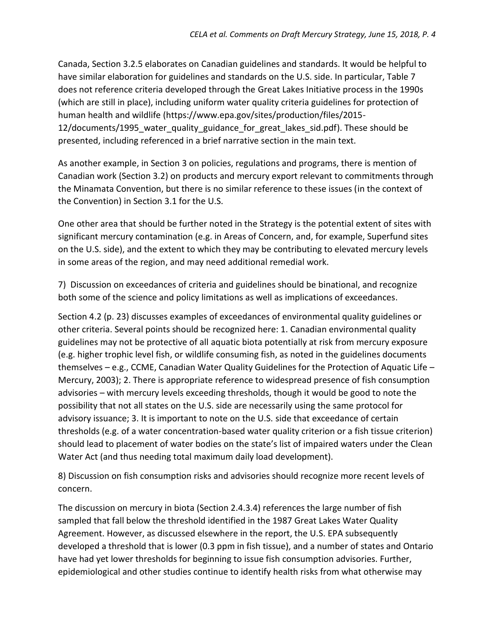Canada, Section 3.2.5 elaborates on Canadian guidelines and standards. It would be helpful to have similar elaboration for guidelines and standards on the U.S. side. In particular, Table 7 does not reference criteria developed through the Great Lakes Initiative process in the 1990s (which are still in place), including uniform water quality criteria guidelines for protection of human health and wildlife [\(https://www.epa.gov/sites/production/files/2015-](https://www.epa.gov/sites/production/files/2015-12/documents/1995_water_quality_guidance_for_great_lakes_sid.pdf) [12/documents/1995\\_water\\_quality\\_guidance\\_for\\_great\\_lakes\\_sid.pdf\)](https://www.epa.gov/sites/production/files/2015-12/documents/1995_water_quality_guidance_for_great_lakes_sid.pdf). These should be presented, including referenced in a brief narrative section in the main text.

As another example, in Section 3 on policies, regulations and programs, there is mention of Canadian work (Section 3.2) on products and mercury export relevant to commitments through the Minamata Convention, but there is no similar reference to these issues (in the context of the Convention) in Section 3.1 for the U.S.

One other area that should be further noted in the Strategy is the potential extent of sites with significant mercury contamination (e.g. in Areas of Concern, and, for example, Superfund sites on the U.S. side), and the extent to which they may be contributing to elevated mercury levels in some areas of the region, and may need additional remedial work.

7) Discussion on exceedances of criteria and guidelines should be binational, and recognize both some of the science and policy limitations as well as implications of exceedances.

Section 4.2 (p. 23) discusses examples of exceedances of environmental quality guidelines or other criteria. Several points should be recognized here: 1. Canadian environmental quality guidelines may not be protective of all aquatic biota potentially at risk from mercury exposure (e.g. higher trophic level fish, or wildlife consuming fish, as noted in the guidelines documents themselves – e.g., CCME, Canadian Water Quality Guidelines for the Protection of Aquatic Life – Mercury, 2003); 2. There is appropriate reference to widespread presence of fish consumption advisories – with mercury levels exceeding thresholds, though it would be good to note the possibility that not all states on the U.S. side are necessarily using the same protocol for advisory issuance; 3. It is important to note on the U.S. side that exceedance of certain thresholds (e.g. of a water concentration-based water quality criterion or a fish tissue criterion) should lead to placement of water bodies on the state's list of impaired waters under the Clean Water Act (and thus needing total maximum daily load development).

8) Discussion on fish consumption risks and advisories should recognize more recent levels of concern.

The discussion on mercury in biota (Section 2.4.3.4) references the large number of fish sampled that fall below the threshold identified in the 1987 Great Lakes Water Quality Agreement. However, as discussed elsewhere in the report, the U.S. EPA subsequently developed a threshold that is lower (0.3 ppm in fish tissue), and a number of states and Ontario have had yet lower thresholds for beginning to issue fish consumption advisories. Further, epidemiological and other studies continue to identify health risks from what otherwise may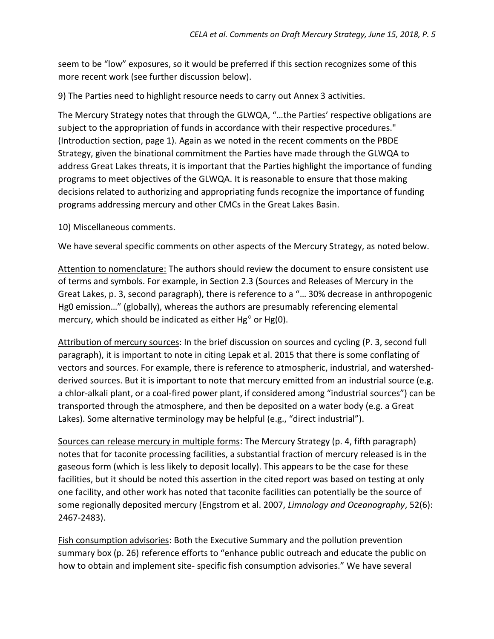seem to be "low" exposures, so it would be preferred if this section recognizes some of this more recent work (see further discussion below).

9) The Parties need to highlight resource needs to carry out Annex 3 activities.

The Mercury Strategy notes that through the GLWQA, "…the Parties' respective obligations are subject to the appropriation of funds in accordance with their respective procedures." (Introduction section, page 1). Again as we noted in the recent comments on the PBDE Strategy, given the binational commitment the Parties have made through the GLWQA to address Great Lakes threats, it is important that the Parties highlight the importance of funding programs to meet objectives of the GLWQA. It is reasonable to ensure that those making decisions related to authorizing and appropriating funds recognize the importance of funding programs addressing mercury and other CMCs in the Great Lakes Basin.

10) Miscellaneous comments.

We have several specific comments on other aspects of the Mercury Strategy, as noted below.

Attention to nomenclature: The authors should review the document to ensure consistent use of terms and symbols. For example, in Section 2.3 (Sources and Releases of Mercury in the Great Lakes, p. 3, second paragraph), there is reference to a "… 30% decrease in anthropogenic Hg0 emission…" (globally), whereas the authors are presumably referencing elemental mercury, which should be indicated as either Hg° or Hg(0).

Attribution of mercury sources: In the brief discussion on sources and cycling (P. 3, second full paragraph), it is important to note in citing Lepak et al. 2015 that there is some conflating of vectors and sources. For example, there is reference to atmospheric, industrial, and watershedderived sources. But it is important to note that mercury emitted from an industrial source (e.g. a chlor-alkali plant, or a coal-fired power plant, if considered among "industrial sources") can be transported through the atmosphere, and then be deposited on a water body (e.g. a Great Lakes). Some alternative terminology may be helpful (e.g., "direct industrial").

Sources can release mercury in multiple forms: The Mercury Strategy (p. 4, fifth paragraph) notes that for taconite processing facilities, a substantial fraction of mercury released is in the gaseous form (which is less likely to deposit locally). This appears to be the case for these facilities, but it should be noted this assertion in the cited report was based on testing at only one facility, and other work has noted that taconite facilities can potentially be the source of some regionally deposited mercury (Engstrom et al. 2007, *Limnology and Oceanography*, 52(6): 2467-2483).

Fish consumption advisories: Both the Executive Summary and the pollution prevention summary box (p. 26) reference efforts to "enhance public outreach and educate the public on how to obtain and implement site- specific fish consumption advisories." We have several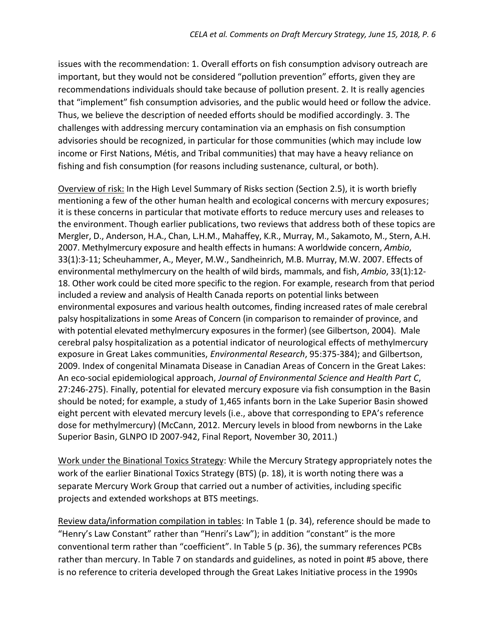issues with the recommendation: 1. Overall efforts on fish consumption advisory outreach are important, but they would not be considered "pollution prevention" efforts, given they are recommendations individuals should take because of pollution present. 2. It is really agencies that "implement" fish consumption advisories, and the public would heed or follow the advice. Thus, we believe the description of needed efforts should be modified accordingly. 3. The challenges with addressing mercury contamination via an emphasis on fish consumption advisories should be recognized, in particular for those communities (which may include low income or First Nations, Métis, and Tribal communities) that may have a heavy reliance on fishing and fish consumption (for reasons including sustenance, cultural, or both).

Overview of risk: In the High Level Summary of Risks section (Section 2.5), it is worth briefly mentioning a few of the other human health and ecological concerns with mercury exposures; it is these concerns in particular that motivate efforts to reduce mercury uses and releases to the environment. Though earlier publications, two reviews that address both of these topics are Mergler, D., Anderson, H.A., Chan, L.H.M., Mahaffey, K.R., Murray, M., Sakamoto, M., Stern, A.H. 2007. Methylmercury exposure and health effects in humans: A worldwide concern, *Ambio*, 33(1):3-11; Scheuhammer, A., Meyer, M.W., Sandheinrich, M.B. Murray, M.W. 2007. Effects of environmental methylmercury on the health of wild birds, mammals, and fish, *Ambio*, 33(1):12- 18. Other work could be cited more specific to the region. For example, research from that period included a review and analysis of Health Canada reports on potential links between environmental exposures and various health outcomes, finding increased rates of male cerebral palsy hospitalizations in some Areas of Concern (in comparison to remainder of province, and with potential elevated methylmercury exposures in the former) (see Gilbertson, 2004). Male cerebral palsy hospitalization as a potential indicator of neurological effects of methylmercury exposure in Great Lakes communities, *Environmental Research*, 95:375-384); and Gilbertson, 2009. Index of congenital Minamata Disease in Canadian Areas of Concern in the Great Lakes: An eco-social epidemiological approach, *Journal of Environmental Science and Health Part C*, 27:246-275). Finally, potential for elevated mercury exposure via fish consumption in the Basin should be noted; for example, a study of 1,465 infants born in the Lake Superior Basin showed eight percent with elevated mercury levels (i.e., above that corresponding to EPA's reference dose for methylmercury) (McCann, 2012. Mercury levels in blood from newborns in the Lake Superior Basin, GLNPO ID 2007-942, Final Report, November 30, 2011.)

Work under the Binational Toxics Strategy: While the Mercury Strategy appropriately notes the work of the earlier Binational Toxics Strategy (BTS) (p. 18), it is worth noting there was a separate Mercury Work Group that carried out a number of activities, including specific projects and extended workshops at BTS meetings.

Review data/information compilation in tables: In Table 1 (p. 34), reference should be made to "Henry's Law Constant" rather than "Henri's Law"); in addition "constant" is the more conventional term rather than "coefficient". In Table 5 (p. 36), the summary references PCBs rather than mercury. In Table 7 on standards and guidelines, as noted in point #5 above, there is no reference to criteria developed through the Great Lakes Initiative process in the 1990s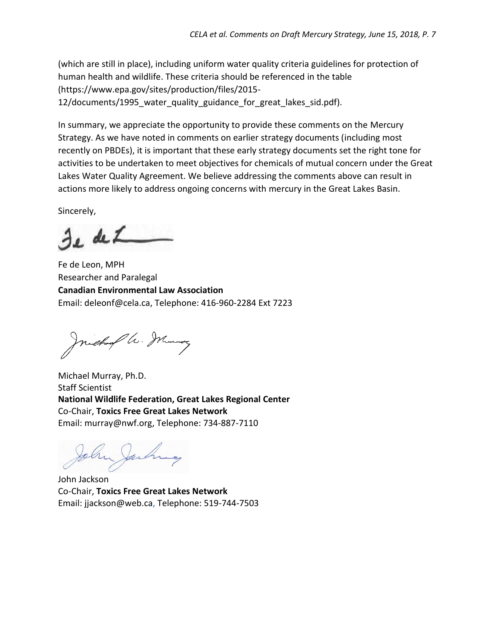(which are still in place), including uniform water quality criteria guidelines for protection of human health and wildlife. These criteria should be referenced in the table [\(https://www.epa.gov/sites/production/files/2015-](https://www.epa.gov/sites/production/files/2015-12/documents/1995_water_quality_guidance_for_great_lakes_sid.pdf) 12/documents/1995 water quality guidance for great lakes sid.pdf).

In summary, we appreciate the opportunity to provide these comments on the Mercury Strategy. As we have noted in comments on earlier strategy documents (including most recently on PBDEs), it is important that these early strategy documents set the right tone for activities to be undertaken to meet objectives for chemicals of mutual concern under the Great Lakes Water Quality Agreement. We believe addressing the comments above can result in actions more likely to address ongoing concerns with mercury in the Great Lakes Basin.

Sincerely,

e de L

Fe de Leon, MPH Researcher and Paralegal **Canadian Environmental Law Association** Email: deleonf@cela.ca, Telephone: 416-960-2284 Ext 7223

Juichard a. Mung

Michael Murray, Ph.D. Staff Scientist **National Wildlife Federation, Great Lakes Regional Center** Co-Chair, **Toxics Free Great Lakes Network** Email: murray@nwf.org, Telephone: 734-887-7110

John Jackson Co-Chair, **Toxics Free Great Lakes Network** Email: jjackson@web.ca, Telephone: 519-744-7503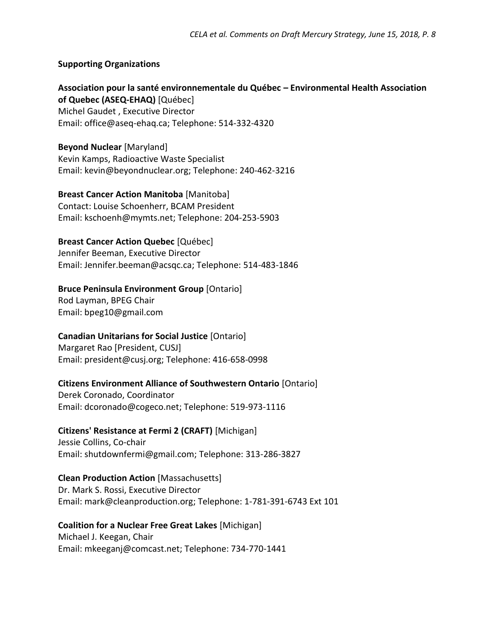# **Supporting Organizations**

**Association pour la santé environnementale du Québec – Environmental Health Association of Quebec (ASEQ-EHAQ)** [Québec] Michel Gaudet , Executive Director Email: [office@aseq-ehaq.ca;](mailto:office@aseq-ehaq.ca) Telephone: 514-332-4320

**Beyond Nuclear** [Maryland] Kevin Kamps, Radioactive Waste Specialist Email: [kevin@beyondnuclear.org;](mailto:kevin@beyondnuclear.org) Telephone: 240-462-3216

#### **Breast Cancer Action Manitoba** [Manitoba]

Contact: Louise Schoenherr, BCAM President Email: [kschoenh@mymts.net;](mailto:kschoenh@mymts.net) Telephone: 204-253-5903

#### **Breast Cancer Action Quebec** [Québec]

Jennifer Beeman, Executive Director Email: [Jennifer.beeman@acsqc.ca;](mailto:Jennifer.beeman@acsqc.ca) Telephone: 514-483-1846

# **Bruce Peninsula Environment Group** [Ontario]

Rod Layman, BPEG Chair Email: [bpeg10@gmail.com](mailto:bpeg10@gmail.com)

# **Canadian Unitarians for Social Justice** [Ontario]

Margaret Rao [President, CUSJ] Email: [president@cusj.org;](mailto:president@cusj.org) Telephone: 416-658-0998

# **Citizens Environment Alliance of Southwestern Ontario** [Ontario]

Derek Coronado, Coordinator Email: [dcoronado@cogeco.net;](mailto:dcoronado@cogeco.net) Telephone: 519-973-1116

# **Citizens' Resistance at Fermi 2 (CRAFT)** [Michigan]

Jessie Collins, Co-chair Email: [shutdownfermi@gmail.com;](mailto:shutdownfermi@gmail.com) Telephone: 313-286-3827

# **Clean Production Action** [Massachusetts]

Dr. Mark S. Rossi, Executive Director Email: [mark@cleanproduction.org;](mailto:mark@cleanproduction.org) Telephone: 1-781-391-6743 Ext 101

# **Coalition for a Nuclear Free Great Lakes** [Michigan]

Michael J. Keegan, Chair Email: [mkeeganj@comcast.net;](mailto:mkeeganj@comcast.net) Telephone: 734-770-1441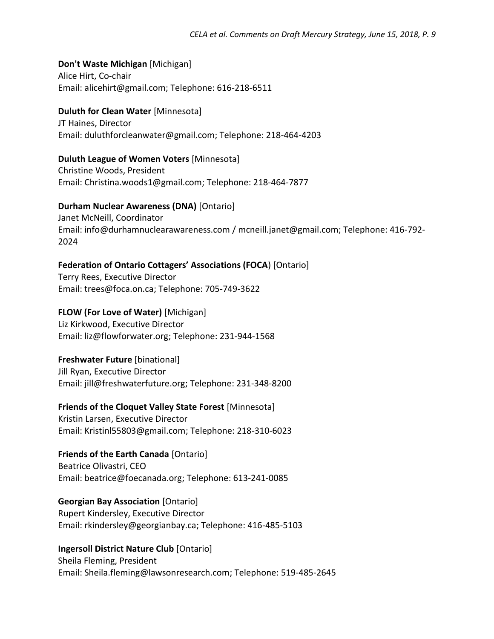# **Don't Waste Michigan** [Michigan]

Alice Hirt, Co-chair Email: alicehirt@gmail.com; Telephone: 616-218-6511

# **Duluth for Clean Water** [Minnesota]

JT Haines, Director Email: duluthforcleanwater@gmail.com; Telephone: 218-464-4203

# **Duluth League of Women Voters** [Minnesota]

Christine Woods, President Email: [Christina.woods1@gmail.com;](mailto:Christina.woods1@gmail.com) Telephone: 218-464-7877

# **Durham Nuclear Awareness (DNA)** [Ontario]

Janet McNeill, Coordinator Email: [info@durhamnuclearawareness.com](mailto:info@durhamnuclearawareness.com) / [mcneill.janet@gmail.com;](mailto:mcneill.janet@gmail.com) Telephone: 416-792- 2024

# **Federation of Ontario Cottagers' Associations (FOCA**) [Ontario]

Terry Rees, Executive Director Email: [trees@foca.on.ca;](mailto:trees@foca.on.ca) Telephone: 705-749-3622

# **FLOW (For Love of Water)** [Michigan]

Liz Kirkwood, Executive Director Email: [liz@flowforwater.org;](mailto:liz@flowforwater.org) Telephone: 231-944-1568

# **Freshwater Future** [binational]

Jill Ryan, Executive Director Email: [jill@freshwaterfuture.org;](mailto:jill@freshwaterfuture.org) Telephone: 231-348-8200

# **Friends of the Cloquet Valley State Forest** [Minnesota]

Kristin Larsen, Executive Director Email: [Kristinl55803@gmail.com;](mailto:Kristinl55803@gmail.com) Telephone: 218-310-6023

# **Friends of the Earth Canada** [Ontario] Beatrice Olivastri, CEO Email: [beatrice@foecanada.org;](mailto:beatrice@foecanada.org) Telephone: 613-241-0085

# **Georgian Bay Association** [Ontario]

Rupert Kindersley, Executive Director Email: [rkindersley@georgianbay.ca;](mailto:rkindersley@georgianbay.ca) Telephone: 416-485-5103

# **Ingersoll District Nature Club** [Ontario]

Sheila Fleming, President Email: [Sheila.fleming@lawsonresearch.com;](mailto:Sheila.fleming@lawsonresearch.com) Telephone: 519-485-2645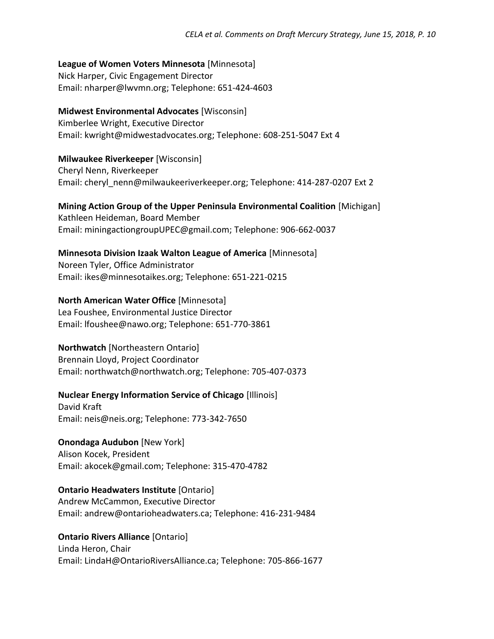# **League of Women Voters Minnesota** [Minnesota]

Nick Harper, Civic Engagement Director Email: [nharper@lwvmn.org;](mailto:nharper@lwvmn.org) Telephone: 651-424-4603

#### **Midwest Environmental Advocates** [Wisconsin]

Kimberlee Wright, Executive Director Email: [kwright@midwestadvocates.org;](mailto:kwright@midwestadvocates.org) Telephone: 608-251-5047 Ext 4

#### **Milwaukee Riverkeeper** [Wisconsin]

Cheryl Nenn, Riverkeeper Email: [cheryl\\_nenn@milwaukeeriverkeeper.org;](mailto:cheryl_nenn@milwaukeeriverkeeper.org) Telephone: 414-287-0207 Ext 2

#### **Mining Action Group of the Upper Peninsula Environmental Coalition** [Michigan] Kathleen Heideman, Board Member Email: [miningactiongroupUPEC@gmail.com;](mailto:miningactiongroupUPEC@gmail.com) Telephone: 906-662-0037

# **Minnesota Division Izaak Walton League of America** [Minnesota]

Noreen Tyler, Office Administrator Email: [ikes@minnesotaikes.org;](mailto:ikes@minnesotaikes.org) Telephone: 651-221-0215

# **North American Water Office** [Minnesota]

Lea Foushee, Environmental Justice Director Email: [lfoushee@nawo.org;](mailto:lfoushee@nawo.org) Telephone: 651-770-3861

# **Northwatch** [Northeastern Ontario]

Brennain Lloyd, Project Coordinator Email: [northwatch@northwatch.org;](mailto:northwatch@northwatch.org) Telephone: 705-407-0373

# **Nuclear Energy Information Service of Chicago** [Illinois]

David Kraft Email: [neis@neis.org;](mailto:neis@neis.org) Telephone: 773-342-7650

# **Onondaga Audubon** [New York]

Alison Kocek, President Email: [akocek@gmail.com;](mailto:akocek@gmail.com) Telephone: 315-470-4782

# **Ontario Headwaters Institute** [Ontario]

Andrew McCammon, Executive Director Email: [andrew@ontarioheadwaters.ca;](mailto:andrew@ontarioheadwaters.ca) Telephone: 416-231-9484

# **Ontario Rivers Alliance** [Ontario]

Linda Heron, Chair Email: [LindaH@OntarioRiversAlliance.ca;](mailto:LindaH@OntarioRiversAlliance.ca) Telephone: 705-866-1677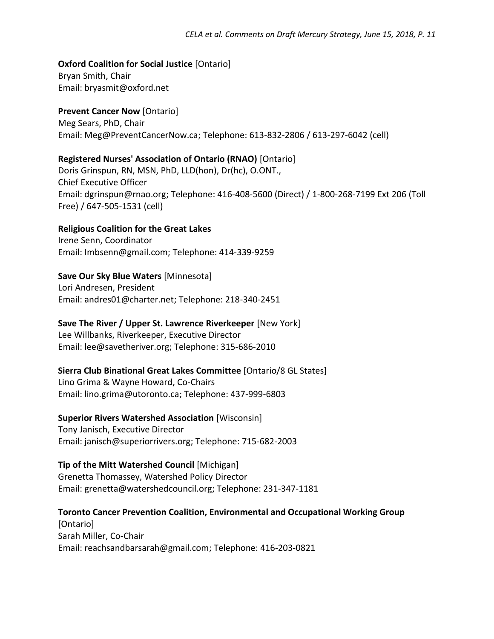#### **Oxford Coalition for Social Justice** [Ontario]

Bryan Smith, Chair Email: [bryasmit@oxford.net](mailto:bryasmit@oxford.net)

#### **Prevent Cancer Now** [Ontario]

Meg Sears, PhD, Chair Email: [Meg@PreventCancerNow.ca;](mailto:Meg@PreventCancerNow.ca) Telephone: 613-832-2806 / 613-297-6042 (cell)

#### **Registered Nurses' Association of Ontario (RNAO)** [Ontario]

Doris Grinspun, RN, MSN, PhD, LLD(hon), Dr(hc), O.ONT., Chief Executive Officer Email: [dgrinspun@rnao.org;](mailto:dgrinspun@rnao.org) Telephone: 416-408-5600 (Direct) / 1-800-268-7199 Ext 206 (Toll Free) / 647-505-1531 (cell)

#### **Religious Coalition for the Great Lakes**

Irene Senn, Coordinator Email: Imbsenn@gmail.com; Telephone: 414-339-9259

# **Save Our Sky Blue Waters** [Minnesota]

Lori Andresen, President Email: [andres01@charter.net;](mailto:andres01@charter.net) Telephone: 218-340-2451

# **Save The River / Upper St. Lawrence Riverkeeper** [New York]

Lee Willbanks, Riverkeeper, Executive Director Email: [lee@savetheriver.org;](mailto:lee@savetheriver.org) Telephone: 315-686-2010

# **Sierra Club Binational Great Lakes Committee** [Ontario/8 GL States]

Lino Grima & Wayne Howard, Co-Chairs Email: [lino.grima@utoronto.ca;](mailto:lino.grima@utoronto.ca) Telephone: 437-999-6803

#### **Superior Rivers Watershed Association** [Wisconsin]

Tony Janisch, Executive Director Email: [janisch@superiorrivers.org;](mailto:janisch@superiorrivers.org) Telephone: 715-682-2003

# **Tip of the Mitt Watershed Council** [Michigan]

Grenetta Thomassey, Watershed Policy Director Email: [grenetta@watershedcouncil.org;](mailto:grenetta@watershedcouncil.org) Telephone: 231-347-1181

# **Toronto Cancer Prevention Coalition, Environmental and Occupational Working Group**

[Ontario] Sarah Miller, Co-Chair Email: [reachsandbarsarah@gmail.com;](mailto:reachsandbarsarah@gmail.com) Telephone: 416-203-0821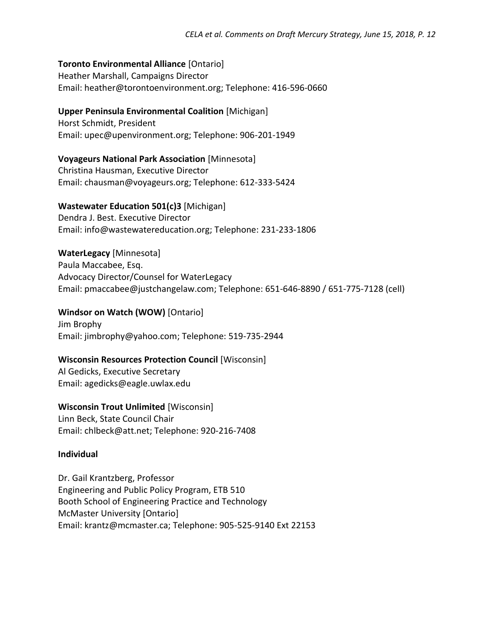#### **Toronto Environmental Alliance** [Ontario]

Heather Marshall, Campaigns Director Email: [heather@torontoenvironment.org;](mailto:heather@torontoenvironment.org) Telephone: 416-596-0660

#### **Upper Peninsula Environmental Coalition** [Michigan]

Horst Schmidt, President Email: upec@upenvironment.org; Telephone: 906-201-1949

**Voyageurs National Park Association** [Minnesota] Christina Hausman, Executive Director Email: chausman@voyageurs.org; Telephone: 612-333-5424

#### **Wastewater Education 501(c)3** [Michigan]

Dendra J. Best. Executive Director Email: [info@wastewatereducation.org;](mailto:info@wastewatereducation.org) Telephone: 231-233-1806

#### **WaterLegacy** [Minnesota]

Paula Maccabee, Esq. Advocacy Director/Counsel for WaterLegacy Email: [pmaccabee@justchangelaw.com;](mailto:pmaccabee@justchangelaw.com) Telephone: 651-646-8890 / 651-775-7128 (cell)

#### **Windsor on Watch (WOW)** [Ontario]

Jim Brophy Email: [jimbrophy@yahoo.com;](mailto:jimbrophy@yahoo.com) Telephone: 519-735-2944

#### **Wisconsin Resources Protection Council** [Wisconsin]

Al Gedicks, Executive Secretary Email: [agedicks@eagle.uwlax.edu](mailto:agedicks@eagle.uwlax.edu)

**Wisconsin Trout Unlimited** [Wisconsin] Linn Beck, State Council Chair Email: [chlbeck@att.net;](mailto:chlbeck@att.net) Telephone: 920-216-7408

# **Individual**

Dr. Gail Krantzberg, Professor Engineering and Public Policy Program, ETB 510 Booth School of Engineering Practice and Technology McMaster University [Ontario] Email: krantz@mcmaster.ca; Telephone: 905-525-9140 Ext 22153